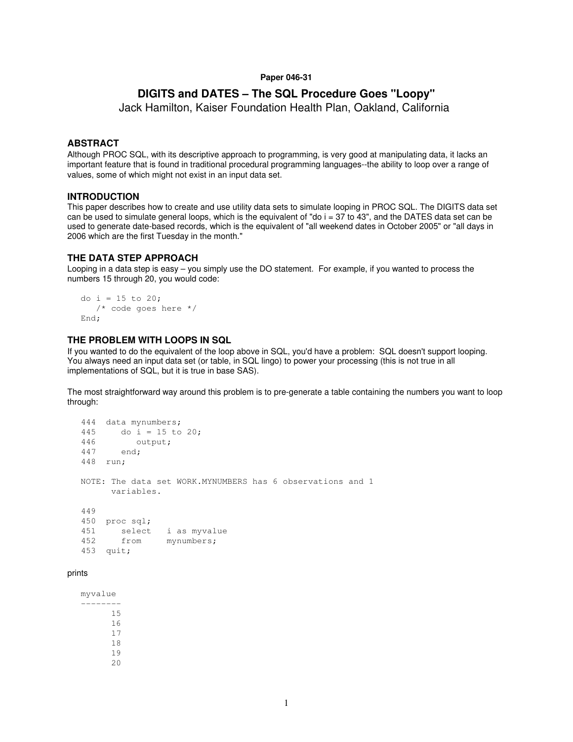# **Paper 046-31**

# **DIGITS and DATES – The SQL Procedure Goes "Loopy"**

Jack Hamilton, Kaiser Foundation Health Plan, Oakland, California

# **ABSTRACT**

Although PROC SQL, with its descriptive approach to programming, is very good at manipulating data, it lacks an important feature that is found in traditional procedural programming languages--the ability to loop over a range of values, some of which might not exist in an input data set.

# **INTRODUCTION**

This paper describes how to create and use utility data sets to simulate looping in PROC SQL. The DIGITS data set can be used to simulate general loops, which is the equivalent of "do  $i = 37$  to  $43$ ", and the DATES data set can be used to generate date-based records, which is the equivalent of "all weekend dates in October 2005" or "all days in 2006 which are the first Tuesday in the month."

# **THE DATA STEP APPROACH**

Looping in a data step is easy – you simply use the DO statement. For example, if you wanted to process the numbers 15 through 20, you would code:

```
do i = 15 to 20;
   /* code goes here */ 
End;
```
# **THE PROBLEM WITH LOOPS IN SQL**

If you wanted to do the equivalent of the loop above in SQL, you'd have a problem: SQL doesn't support looping. You always need an input data set (or table, in SQL lingo) to power your processing (this is not true in all implementations of SQL, but it is true in base SAS).

The most straightforward way around this problem is to pre-generate a table containing the numbers you want to loop through:

```
444 data mynumbers; 
445 do i = 15 to 20; 
446 output; 
447 end; 
448 run; 
NOTE: The data set WORK.MYNUMBERS has 6 observations and 1 
      variables. 
449 
450 proc sql;<br>451 select
451 select i as myvalue 
452 from mynumbers; 
453 quit;
```
### prints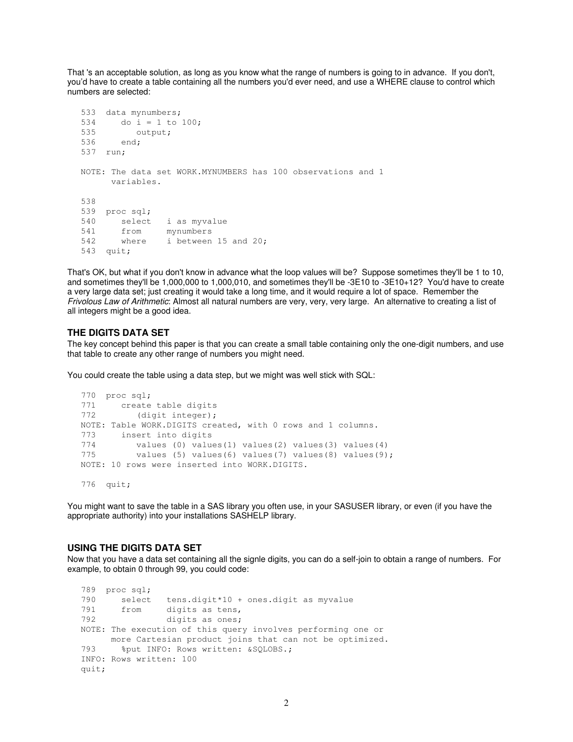That 's an acceptable solution, as long as you know what the range of numbers is going to in advance. If you don't, you'd have to create a table containing all the numbers you'd ever need, and use a WHERE clause to control which numbers are selected:

```
533 data mynumbers; 
534 do i = 1 to 100; 
535 output; 
536 end; 
537 run; 
NOTE: The data set WORK.MYNUMBERS has 100 observations and 1 
       variables. 
538 
539 proc sql; 
540 select i as myvalue<br>541 from mynumbers
       from mynumbers<br>where i between
542 where i between 15 and 20; 
543 quit;
```
That's OK, but what if you don't know in advance what the loop values will be? Suppose sometimes they'll be 1 to 10, and sometimes they'll be 1,000,000 to 1,000,010, and sometimes they'll be -3E10 to -3E10+12? You'd have to create a very large data set; just creating it would take a long time, and it would require a lot of space. Remember the Frivolous Law of Arithmetic: Almost all natural numbers are very, very, very large. An alternative to creating a list of all integers might be a good idea.

# **THE DIGITS DATA SET**

The key concept behind this paper is that you can create a small table containing only the one-digit numbers, and use that table to create any other range of numbers you might need.

You could create the table using a data step, but we might was well stick with SQL:

```
770 proc sql; 
771 create table digits 
772 (digit integer);
NOTE: Table WORK.DIGITS created, with 0 rows and 1 columns. 
773 insert into digits 
774 values (0) values(1) values(2) values(3) values(4) 
775 values (5) values(6) values(7) values(8) values(9); 
NOTE: 10 rows were inserted into WORK.DIGITS.
```
776 quit;

You might want to save the table in a SAS library you often use, in your SASUSER library, or even (if you have the appropriate authority) into your installations SASHELP library.

## **USING THE DIGITS DATA SET**

Now that you have a data set containing all the signle digits, you can do a self-join to obtain a range of numbers. For example, to obtain 0 through 99, you could code:

```
789 proc sql; 
790 select tens.digit*10 + ones.digit as myvalue 
791 from digits as tens, 
792 digits as ones; 
NOTE: The execution of this query involves performing one or 
      more Cartesian product joins that can not be optimized. 
793 % % % Put INFO: Rows written: &SOLOBS.;
INFO: Rows written: 100 
quit;
```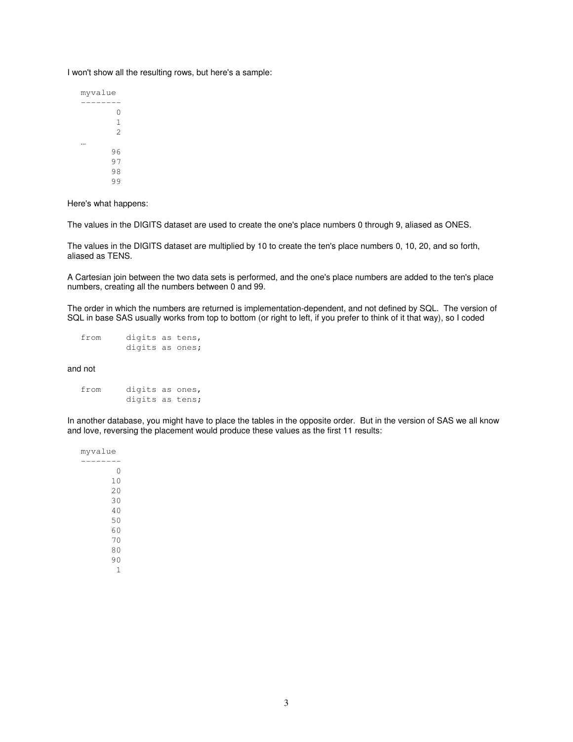I won't show all the resulting rows, but here's a sample:

Here's what happens:

The values in the DIGITS dataset are used to create the one's place numbers 0 through 9, aliased as ONES.

The values in the DIGITS dataset are multiplied by 10 to create the ten's place numbers 0, 10, 20, and so forth, aliased as TENS.

A Cartesian join between the two data sets is performed, and the one's place numbers are added to the ten's place numbers, creating all the numbers between 0 and 99.

The order in which the numbers are returned is implementation-dependent, and not defined by SQL. The version of SQL in base SAS usually works from top to bottom (or right to left, if you prefer to think of it that way), so I coded

| from | digits as tens, |  |  |
|------|-----------------|--|--|
|      | digits as ones; |  |  |

and not

| from | digits as ones, |  |  |
|------|-----------------|--|--|
|      | digits as tens; |  |  |

In another database, you might have to place the tables in the opposite order. But in the version of SAS we all know and love, reversing the placement would produce these values as the first 11 results: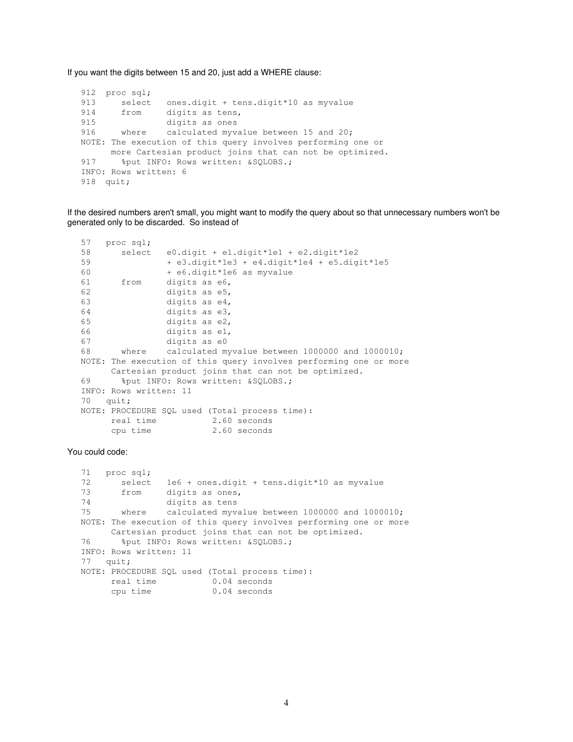If you want the digits between 15 and 20, just add a WHERE clause:

```
912 proc sql;<br>913 select
       select ones.digit + tens.digit*10 as myvalue
914 from digits as tens,
915 digits as ones 
916 where calculated myvalue between 15 and 20;
NOTE: The execution of this query involves performing one or 
      more Cartesian product joins that can not be optimized. 
917 % aput INFO: Rows written: &SOLOBS.;
INFO: Rows written: 6 
918 quit;
```
If the desired numbers aren't small, you might want to modify the query about so that unnecessary numbers won't be generated only to be discarded. So instead of

```
57 proc sql; 
58 select e0.digit + e1.digit*1e1 + e2.digit*1e2 
59 + e3.digit*1e3 + e4.digit*1e4 + e5.digit*1e5 
60 + e6.digit*1e6 as myvalue 
61 from digits as e6, 
62 digits as e5, 
63 digits as e4, 
64 digits as e3, 
65 digits as e2, 
66 digits as e1, 
67 digits as e0 
68 where calculated myvalue between 1000000 and 1000010; 
NOTE: The execution of this query involves performing one or more 
     Cartesian product joins that can not be optimized. 
69 %put INFO: Rows written: &SQLOBS.; 
INFO: Rows written: 11 
70 quit; 
NOTE: PROCEDURE SQL used (Total process time): 
      real time 2.60 seconds 
     cpu time 2.60 seconds
```
You could code:

```
71 proc sql; 
72 select 1e6 + ones.digit + tens.digit*10 as myvalue 
73 from digits as ones, 
74 digits as tens 
75 where calculated myvalue between 1000000 and 1000010; 
NOTE: The execution of this query involves performing one or more 
      Cartesian product joins that can not be optimized. 
76 % Put INFO: Rows written: &SQLOBS.;
INFO: Rows written: 11 
77 quit; 
NOTE: PROCEDURE SQL used (Total process time): 
      real time 0.04 seconds 
      cpu time 0.04 seconds
```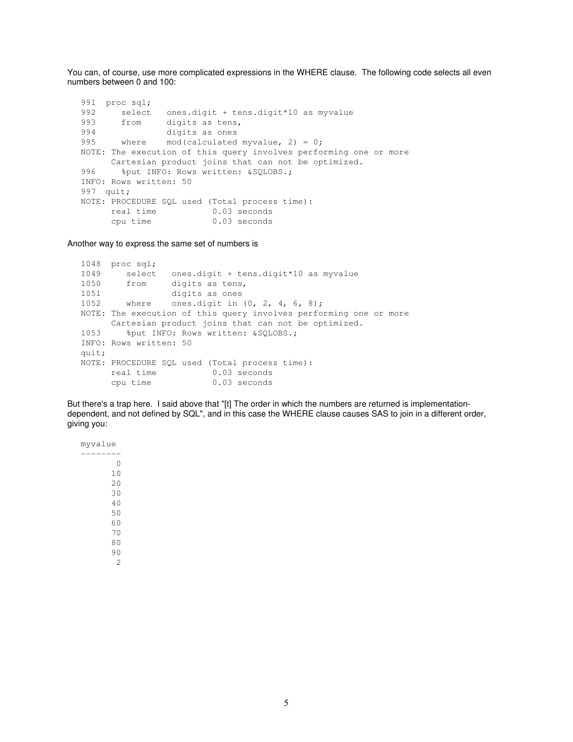You can, of course, use more complicated expressions in the WHERE clause. The following code selects all even numbers between 0 and 100:

```
991 proc sql; 
992 select ones.digit + tens.digit*10 as myvalue 
993 from digits as tens, 
994 digits as ones 
995 where mod(calculated myvalue, 2) = 0;NOTE: The execution of this query involves performing one or more 
      Cartesian product joins that can not be optimized. 
996 % % %put INFO: Rows written: &SQLOBS.;
INFO: Rows written: 50 
997 quit; 
NOTE: PROCEDURE SQL used (Total process time): 
      real time 0.03 seconds 
      cpu time 0.03 seconds
```
Another way to express the same set of numbers is

```
1048 proc sql; 
1049 select ones.digit + tens.digit*10 as myvalue 
1050 from digits as tens, 
1051 digits as ones 
1052 where ones.digit in (0, 2, 4, 6, 8); 
NOTE: The execution of this query involves performing one or more 
      Cartesian product joins that can not be optimized. 
1053 % put INFO: Rows written: &SQLOBS.;
INFO: Rows written: 50 
quit; 
NOTE: PROCEDURE SQL used (Total process time): 
      real time 0.03 seconds 
      cpu time 0.03 seconds
```
But there's a trap here. I said above that "[t] The order in which the numbers are returned is implementationdependent, and not defined by SQL", and in this case the WHERE clause causes SAS to join in a different order, giving you: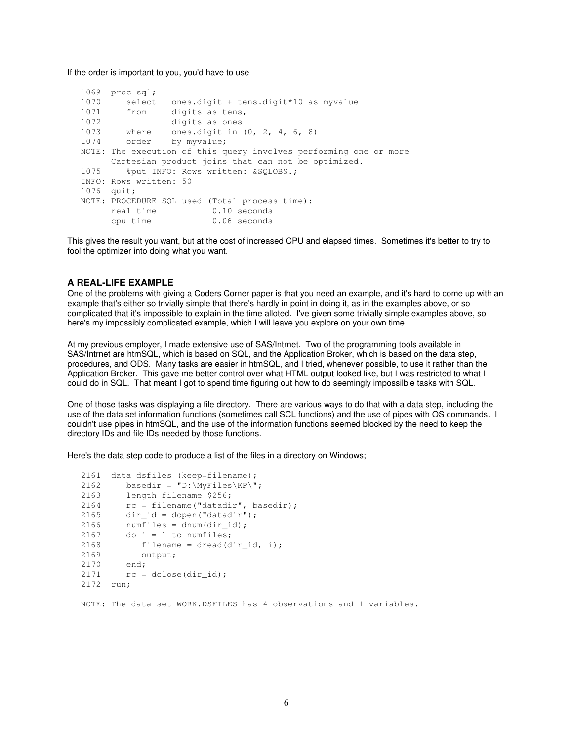#### If the order is important to you, you'd have to use

```
1069 proc sql; 
1070 select ones.digit + tens.digit*10 as myvalue 
1071 from digits as tens,
1072 digits as ones 
1073 where ones.digit in (0, 2, 4, 6, 8) 
1074 order by myvalue;
NOTE: The execution of this query involves performing one or more 
      Cartesian product joins that can not be optimized. 
1075 % put INFO: Rows written: &SOLOBS.;
INFO: Rows written: 50 
1076 quit; 
NOTE: PROCEDURE SQL used (Total process time):<br>real time 0.10 seconds
     real time
      cpu time 0.06 seconds
```
This gives the result you want, but at the cost of increased CPU and elapsed times. Sometimes it's better to try to fool the optimizer into doing what you want.

# **A REAL-LIFE EXAMPLE**

One of the problems with giving a Coders Corner paper is that you need an example, and it's hard to come up with an example that's either so trivially simple that there's hardly in point in doing it, as in the examples above, or so complicated that it's impossible to explain in the time alloted. I've given some trivially simple examples above, so here's my impossibly complicated example, which I will leave you explore on your own time.

At my previous employer, I made extensive use of SAS/Intrnet. Two of the programming tools available in SAS/Intrnet are htmSQL, which is based on SQL, and the Application Broker, which is based on the data step, procedures, and ODS. Many tasks are easier in htmSQL, and I tried, whenever possible, to use it rather than the Application Broker. This gave me better control over what HTML output looked like, but I was restricted to what I could do in SQL. That meant I got to spend time figuring out how to do seemingly impossilble tasks with SQL.

One of those tasks was displaying a file directory. There are various ways to do that with a data step, including the use of the data set information functions (sometimes call SCL functions) and the use of pipes with OS commands. I couldn't use pipes in htmSQL, and the use of the information functions seemed blocked by the need to keep the directory IDs and file IDs needed by those functions.

Here's the data step code to produce a list of the files in a directory on Windows;

```
2161 data dsfiles (keep=filename); 
2162 basedir = "D:\MyFiles\KP\";
2163 length filename $256; 
2164 rc = filename("datadir", basedir); 
2165 \text{dir\_id} = \text{dopen}(\text{"datadir"});2166 numfiles = \text{dnum}(\text{dir_id});2167 do i = 1 to numfiles;
2168 filename = dread(dir_id, i);2169 output; 
2170 end; 
2171 rc = dclose(dir_id);
2172 run;
```
NOTE: The data set WORK.DSFILES has 4 observations and 1 variables.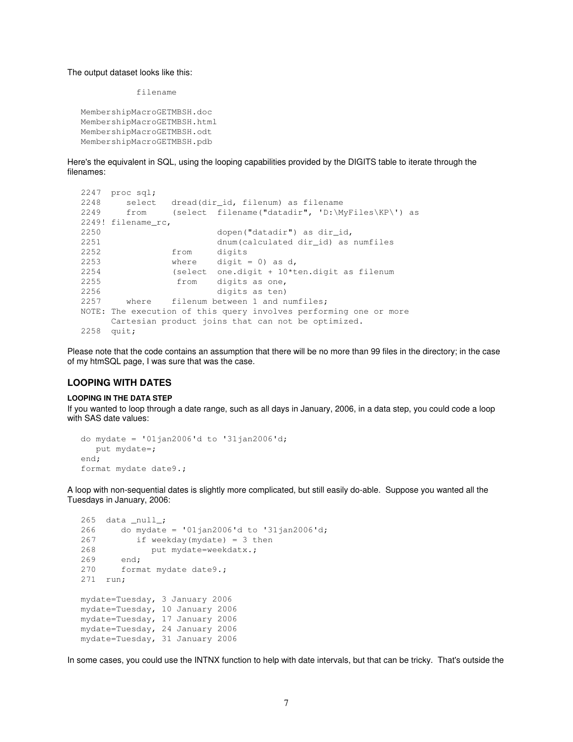#### The output dataset looks like this:

filename

```
MembershipMacroGETMBSH.doc 
MembershipMacroGETMBSH.html 
MembershipMacroGETMBSH.odt 
MembershipMacroGETMBSH.pdb
```
Here's the equivalent in SQL, using the looping capabilities provided by the DIGITS table to iterate through the filenames:

```
2247 proc sql; 
2248 select dread(dir_id, filenum) as filename 
2249 from (select filename("datadir", 'D:\MyFiles\KP\') as 
2249! filename_rc, 
2250 dopen("datadir") as dir_id, 
2251 dnum(calculated dir_id) as numfiles 
2252 from digits 
2253 where digit = 0) as d,
2254 (select one.digit + 10*ten.digit as filenum 
2255 from digits as one, 
2256 digits as ten) 
2257 where filenum between 1 and numfiles; 
NOTE: The execution of this query involves performing one or more 
      Cartesian product joins that can not be optimized. 
2258 quit;
```
Please note that the code contains an assumption that there will be no more than 99 files in the directory; in the case of my htmSQL page, I was sure that was the case.

# **LOOPING WITH DATES**

#### **LOOPING IN THE DATA STEP**

If you wanted to loop through a date range, such as all days in January, 2006, in a data step, you could code a loop with SAS date values:

```
do mydate = '01jan2006'd to '31jan2006'd;
    put mydate=; 
end; 
format mydate date9.;
```
A loop with non-sequential dates is slightly more complicated, but still easily do-able. Suppose you wanted all the Tuesdays in January, 2006:

```
265 data _null_; 
266 do mydate = '01jan2006'd to '31jan2006'd; 
267 if weekday(mydate) = 3 then 
268 put mydate=weekdatx.; 
269 end; 
270 format mydate date9.; 
271 run; 
mydate=Tuesday, 3 January 2006 
mydate=Tuesday, 10 January 2006 
mydate=Tuesday, 17 January 2006 
mydate=Tuesday, 24 January 2006 
mydate=Tuesday, 31 January 2006
```
In some cases, you could use the INTNX function to help with date intervals, but that can be tricky. That's outside the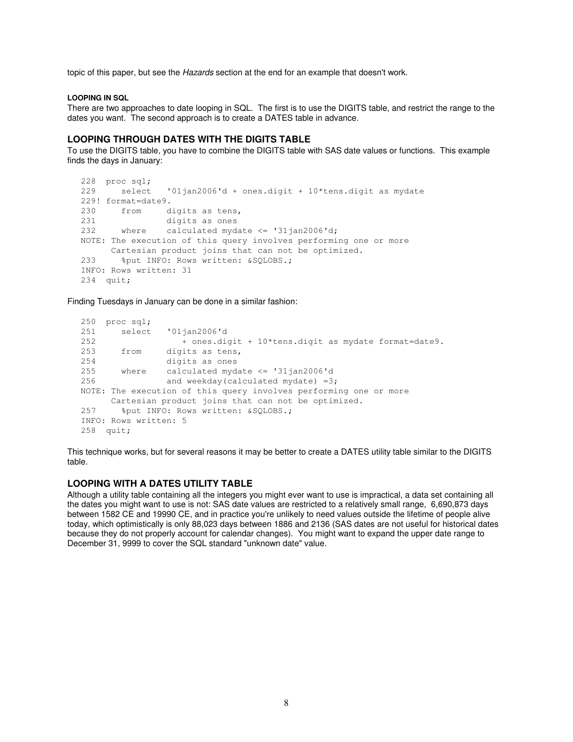topic of this paper, but see the Hazards section at the end for an example that doesn't work.

#### **LOOPING IN SQL**

There are two approaches to date looping in SQL. The first is to use the DIGITS table, and restrict the range to the dates you want. The second approach is to create a DATES table in advance.

# **LOOPING THROUGH DATES WITH THE DIGITS TABLE**

To use the DIGITS table, you have to combine the DIGITS table with SAS date values or functions. This example finds the days in January:

```
228 proc sql; 
229 select '01jan2006'd + ones.digit + 10*tens.digit as mydate 
229! format=date9. 
230 from digits as tens, 
231 digits as ones 
232 where calculated mydate <= '31jan2006'd;
NOTE: The execution of this query involves performing one or more 
      Cartesian product joins that can not be optimized. 
233 %put INFO: Rows written: &SQLOBS.; 
INFO: Rows written: 31 
234 quit;
```
Finding Tuesdays in January can be done in a similar fashion:

```
250 proc sql; 
251 select '01jan2006'd 
252 + ones.digit + 10*tens.digit as mydate format=date9. 
253 from digits as tens, 
254 digits as ones 
255 where calculated mydate <= '31jan2006'd 
256 and weekday(calculated mydate) =3;
NOTE: The execution of this query involves performing one or more 
      Cartesian product joins that can not be optimized. 
257 % put INFO: Rows written: &SOLOBS.;
INFO: Rows written: 5 
258 quit;
```
This technique works, but for several reasons it may be better to create a DATES utility table similar to the DIGITS table.

# **LOOPING WITH A DATES UTILITY TABLE**

Although a utility table containing all the integers you might ever want to use is impractical, a data set containing all the dates you might want to use is not: SAS date values are restricted to a relatively small range, 6,690,873 days between 1582 CE and 19990 CE, and in practice you're unlikely to need values outside the lifetime of people alive today, which optimistically is only 88,023 days between 1886 and 2136 (SAS dates are not useful for historical dates because they do not properly account for calendar changes). You might want to expand the upper date range to December 31, 9999 to cover the SQL standard "unknown date" value.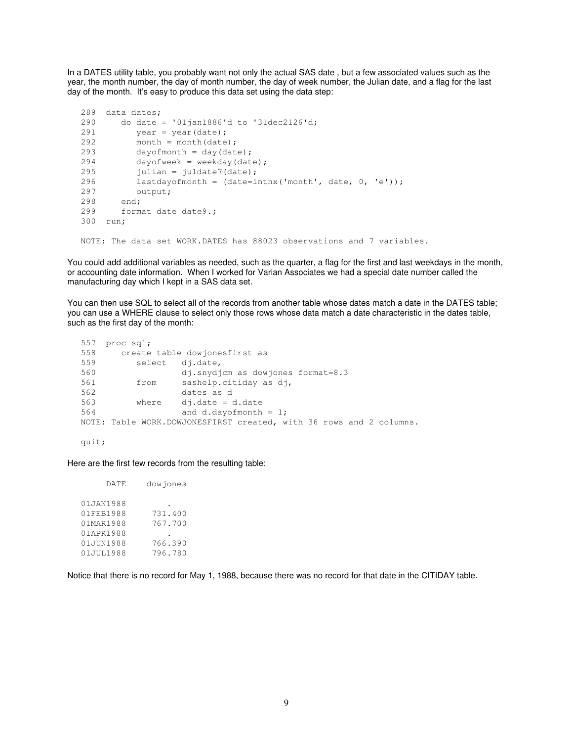In a DATES utility table, you probably want not only the actual SAS date , but a few associated values such as the year, the month number, the day of month number, the day of week number, the Julian date, and a flag for the last day of the month. It's easy to produce this data set using the data step:

```
289 data dates; 
290 do date = '01jan1886'd to '31dec2126'd; 
291 year = year(date);
292 month = month(date);
293 dayofmonth = day(date);
294 dayofweek = weekday(date); 
295 julian = juldate7(date);
296 lastdayofmonth = (date=intnx('month', date, 0, 'e')); 
297 output; 
298 end; 
299 format date date9.;
300 run;
```
NOTE: The data set WORK.DATES has 88023 observations and 7 variables.

You could add additional variables as needed, such as the quarter, a flag for the first and last weekdays in the month, or accounting date information. When I worked for Varian Associates we had a special date number called the manufacturing day which I kept in a SAS data set.

You can then use SQL to select all of the records from another table whose dates match a date in the DATES table; you can use a WHERE clause to select only those rows whose data match a date characteristic in the dates table, such as the first day of the month:

```
557 proc sql; 
558 create table dowjonesfirst as 
559 select dj.date, 
560 dj.snydjcm as dowjones format=8.3 
561 from sashelp.citiday as dj, 
562 dates as d<br>563 where didate = 0
         where dj.data = d.data564 and d.dayofmonth = 1;
NOTE: Table WORK.DOWJONESFIRST created, with 36 rows and 2 columns.
```
quit;

Here are the first few records from the resulting table:

 DATE dowjones 01JAN1988 01FEB1988 731.400 01MAR1988 767.700 01APR1988 01JUN1988 766.390 01JUL1988 796.780

Notice that there is no record for May 1, 1988, because there was no record for that date in the CITIDAY table.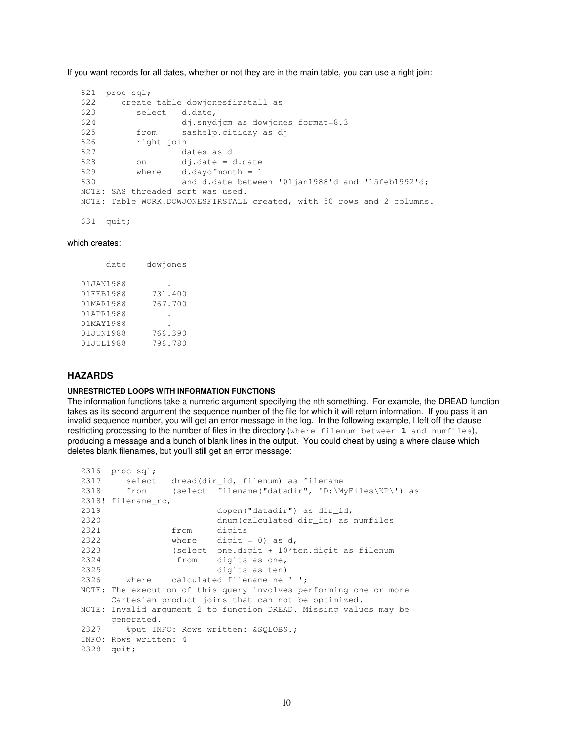If you want records for all dates, whether or not they are in the main table, you can use a right join:

```
621 proc sql; 
622 create table dowjonesfirstall as 
623 select d.date, 
624 dj.snydjcm as dowjones format=8.3 
625 from sashelp.citiday as dj 
626 right join 
627 dates as d 
628 on dj.date = d.date<br>629 where d.dayofmonth = 1
                 d.davofmonth = 1630 and d.date between '01jan1988'd and '15feb1992'd; 
NOTE: SAS threaded sort was used. 
NOTE: Table WORK.DOWJONESFIRSTALL created, with 50 rows and 2 columns.
```
631 quit;

# which creates:

| date      | dowjones |
|-----------|----------|
| 01JAN1988 |          |
| 01FEB1988 | 731.400  |
| 01MAR1988 | 767.700  |
| 01APR1988 |          |
| 01MAY1988 |          |
| 01JUN1988 | 766.390  |
| 01JUL1988 | 796.780  |

### **HAZARDS**

#### **UNRESTRICTED LOOPS WITH INFORMATION FUNCTIONS**

The information functions take a numeric argument specifying the nth something. For example, the DREAD function takes as its second argument the sequence number of the file for which it will return information. If you pass it an invalid sequence number, you will get an error message in the log. In the following example, I left off the clause restricting processing to the number of files in the directory (where filenum between **1** and numfiles), producing a message and a bunch of blank lines in the output. You could cheat by using a where clause which deletes blank filenames, but you'll still get an error message:

```
2316 proc sql; 
2317 select dread(dir_id, filenum) as filename 
2318 from (select filename("datadir", 'D:\MyFiles\KP\') as 
2318! filename_rc, 
2319 dopen("datadir") as dir_id, 
2320 dnum(calculated dir_id) as numfiles 
2321 from digits 
2322 where digit = 0) as d,
2323 (select one.digit + 10*ten.digit as filenum 
2324 from digits as one, 
2325 digits as ten) 
2326 where calculated filename ne ' '; 
NOTE: The execution of this query involves performing one or more 
      Cartesian product joins that can not be optimized. 
NOTE: Invalid argument 2 to function DREAD. Missing values may be 
      generated. 
2327 %put INFO: Rows written: &SQLOBS.; 
INFO: Rows written: 4 
2328 quit;
```